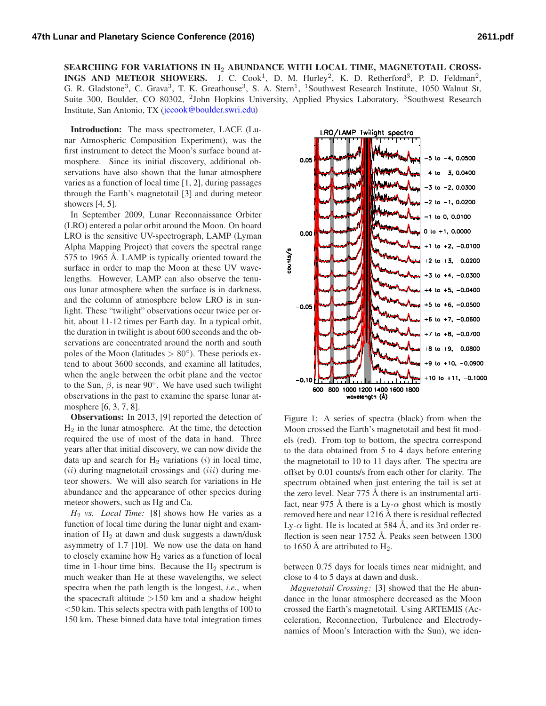SEARCHING FOR VARIATIONS IN H<sub>2</sub> ABUNDANCE WITH LOCAL TIME, MAGNETOTAIL CROSS-INGS AND METEOR SHOWERS. J. C. Cook<sup>1</sup>, D. M. Hurley<sup>2</sup>, K. D. Retherford<sup>3</sup>, P. D. Feldman<sup>2</sup>, G. R. Gladstone<sup>3</sup>, C. Grava<sup>3</sup>, T. K. Greathouse<sup>3</sup>, S. A. Stern<sup>1</sup>, <sup>1</sup>Southwest Research Institute, 1050 Walnut St, Suite 300, Boulder, CO 80302, <sup>2</sup>John Hopkins University, Applied Physics Laboratory, <sup>3</sup>Southwest Research Institute, San Antonio, TX [\(jccook@boulder.swri.edu\)](mailto: jccook@boulder.swri.edu)

Introduction: The mass spectrometer, LACE (Lunar Atmospheric Composition Experiment), was the first instrument to detect the Moon's surface bound atmosphere. Since its initial discovery, additional observations have also shown that the lunar atmosphere varies as a function of local time [\[1,](#page-1-0) [2\]](#page-1-1), during passages through the Earth's magnetotail [\[3\]](#page-1-2) and during meteor showers [\[4,](#page-1-3) [5\]](#page-1-4).

In September 2009, Lunar Reconnaissance Orbiter (LRO) entered a polar orbit around the Moon. On board LRO is the sensitive UV-spectrograph, LAMP (Lyman Alpha Mapping Project) that covers the spectral range 575 to 1965 Å. LAMP is typically oriented toward the surface in order to map the Moon at these UV wavelengths. However, LAMP can also observe the tenuous lunar atmosphere when the surface is in darkness, and the column of atmosphere below LRO is in sunlight. These "twilight" observations occur twice per orbit, about 11-12 times per Earth day. In a typical orbit, the duration in twilight is about 600 seconds and the observations are concentrated around the north and south poles of the Moon (latitudes  $> 80^\circ$ ). These periods extend to about 3600 seconds, and examine all latitudes, when the angle between the orbit plane and the vector to the Sun,  $\beta$ , is near 90°. We have used such twilight observations in the past to examine the sparse lunar atmosphere [\[6,](#page-1-5) [3,](#page-1-2) [7,](#page-1-6) [8\]](#page-1-7).

Observations: In 2013, [\[9\]](#page-1-8) reported the detection of  $H<sub>2</sub>$  in the lunar atmosphere. At the time, the detection required the use of most of the data in hand. Three years after that initial discovery, we can now divide the data up and search for  $H_2$  variations (i) in local time,  $(ii)$  during magnetotail crossings and  $(iii)$  during meteor showers. We will also search for variations in He abundance and the appearance of other species during meteor showers, such as Hg and Ca.

*H*<sup>2</sup> *vs. Local Time:* [\[8\]](#page-1-7) shows how He varies as a function of local time during the lunar night and examination of  $H_2$  at dawn and dusk suggests a dawn/dusk asymmetry of 1.7 [\[10\]](#page-1-9). We now use the data on hand to closely examine how  $H_2$  varies as a function of local time in 1-hour time bins. Because the  $H_2$  spectrum is much weaker than He at these wavelengths, we select spectra when the path length is the longest, *i.e.*, when the spacecraft altitude  $>150$  km and a shadow height  $<$  50 km. This selects spectra with path lengths of 100 to 150 km. These binned data have total integration times



<span id="page-0-0"></span>Figure 1: A series of spectra (black) from when the Moon crossed the Earth's magnetotail and best fit models (red). From top to bottom, the spectra correspond to the data obtained from 5 to 4 days before entering the magnetotail to 10 to 11 days after. The spectra are offset by 0.01 counts/s from each other for clarity. The spectrum obtained when just entering the tail is set at the zero level. Near  $775 \text{ Å}$  there is an instrumental artifact, near 975 Å there is a Ly- $\alpha$  ghost which is mostly removed here and near  $1216 \text{ Å}$  there is residual reflected Ly- $\alpha$  light. He is located at 584 Å, and its 3rd order reflection is seen near  $1752 \text{ Å}$ . Peaks seen between 1300 to 1650 Å are attributed to  $H_2$ .

between 0.75 days for locals times near midnight, and close to 4 to 5 days at dawn and dusk.

*Magnetotail Crossing:* [\[3\]](#page-1-2) showed that the He abundance in the lunar atmosphere decreased as the Moon crossed the Earth's magnetotail. Using ARTEMIS (Acceleration, Reconnection, Turbulence and Electrodynamics of Moon's Interaction with the Sun), we iden